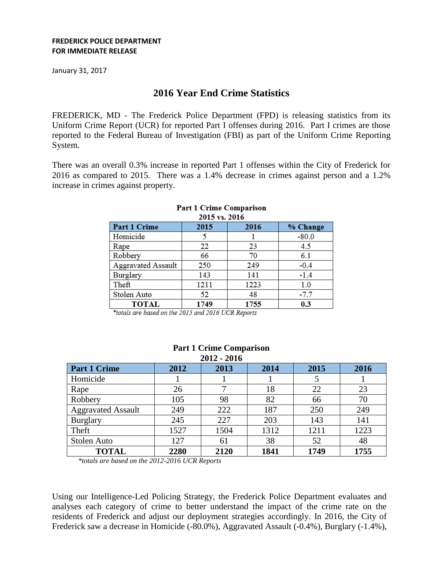### **FREDERICK POLICE DEPARTMENT FOR IMMEDIATE RELEASE**

January 31, 2017

# **2016 Year End Crime Statistics**

FREDERICK, MD - The Frederick Police Department (FPD) is releasing statistics from its Uniform Crime Report (UCR) for reported Part I offenses during 2016. Part I crimes are those reported to the Federal Bureau of Investigation (FBI) as part of the Uniform Crime Reporting System.

There was an overall 0.3% increase in reported Part 1 offenses within the City of Frederick for 2016 as compared to 2015. There was a 1.4% decrease in crimes against person and a 1.2% increase in crimes against property.

| 2015 VS. 2010      |      |      |          |  |  |  |  |
|--------------------|------|------|----------|--|--|--|--|
| Part 1 Crime       | 2015 | 2016 | % Change |  |  |  |  |
| Homicide           |      |      | $-80.0$  |  |  |  |  |
| Rape               | 22   | 23   | 4.5      |  |  |  |  |
| Robbery            | 66   | 70   | 6.1      |  |  |  |  |
| Aggravated Assault | 250  | 249  | $-0.4$   |  |  |  |  |
| Burglary           | 143  | 141  | $-1.4$   |  |  |  |  |
| Theft              | 1211 | 1223 | 1.0      |  |  |  |  |
| Stolen Auto        | 52   | 48   | $-7.7$   |  |  |  |  |
| <b>TOTAL</b>       | 1749 | 1755 | 0.3      |  |  |  |  |

#### Part 1 Crime Comparison  $2015 - 2016$

\*totals are based on the 2015 and 2016 UCR Reports

| 2012 - 2016               |      |      |      |      |      |  |  |  |
|---------------------------|------|------|------|------|------|--|--|--|
| <b>Part 1 Crime</b>       | 2012 | 2013 | 2014 | 2015 | 2016 |  |  |  |
| Homicide                  |      |      |      |      |      |  |  |  |
| Rape                      | 26   |      | 18   | 22   | 23   |  |  |  |
| Robbery                   | 105  | 98   | 82   | 66   | 70   |  |  |  |
| <b>Aggravated Assault</b> | 249  | 222  | 187  | 250  | 249  |  |  |  |
| <b>Burglary</b>           | 245  | 227  | 203  | 143  | 141  |  |  |  |
| Theft                     | 1527 | 1504 | 1312 | 1211 | 1223 |  |  |  |
| Stolen Auto               | 127  | 61   | 38   | 52   | 48   |  |  |  |
| <b>TOTAL</b>              | 2280 | 2120 | 1841 | 1749 | 1755 |  |  |  |

# **Part 1 Crime Comparison 2012 - 2016**

*\*totals are based on the 2012-2016 UCR Reports*

Using our Intelligence-Led Policing Strategy, the Frederick Police Department evaluates and analyses each category of crime to better understand the impact of the crime rate on the residents of Frederick and adjust our deployment strategies accordingly. In 2016, the City of Frederick saw a decrease in Homicide (-80.0%), Aggravated Assault (-0.4%), Burglary (-1.4%),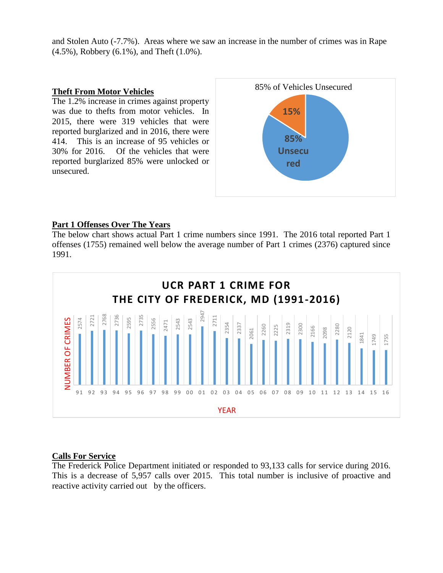and Stolen Auto (-7.7%). Areas where we saw an increase in the number of crimes was in Rape (4.5%), Robbery (6.1%), and Theft (1.0%).

## **Theft From Motor Vehicles**

The 1.2% increase in crimes against property was due to thefts from motor vehicles. In 2015, there were 319 vehicles that were reported burglarized and in 2016, there were 414. This is an increase of 95 vehicles or 30% for 2016. Of the vehicles that were reported burglarized 85% were unlocked or unsecured.



# **Part 1 Offenses Over The Years**

The below chart shows actual Part 1 crime numbers since 1991. The 2016 total reported Part 1 offenses (1755) remained well below the average number of Part 1 crimes (2376) captured since 1991.



# **Calls For Service**

The Frederick Police Department initiated or responded to 93,133 calls for service during 2016. This is a decrease of 5,957 calls over 2015. This total number is inclusive of proactive and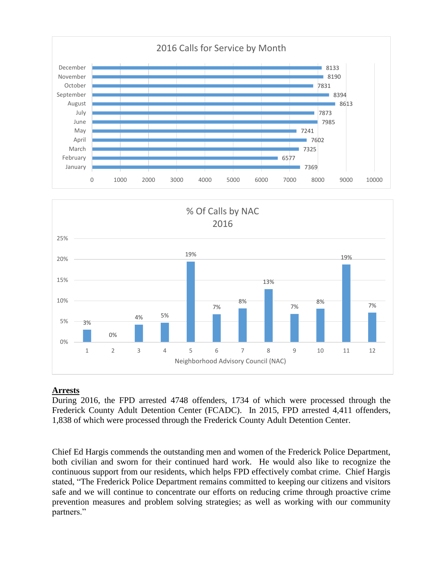



# **Arrests**

During 2016, the FPD arrested 4748 offenders, 1734 of which were processed through the Frederick County Adult Detention Center (FCADC). In 2015, FPD arrested 4,411 offenders, 1,838 of which were processed through the Frederick County Adult Detention Center.

Chief Ed Hargis commends the outstanding men and women of the Frederick Police Department, both civilian and sworn for their continued hard work. He would also like to recognize the continuous support from our residents, which helps FPD effectively combat crime. Chief Hargis stated, "The Frederick Police Department remains committed to keeping our citizens and visitors safe and we will continue to concentrate our efforts on reducing crime through proactive crime prevention measures and problem solving strategies; as well as working with our community partners."